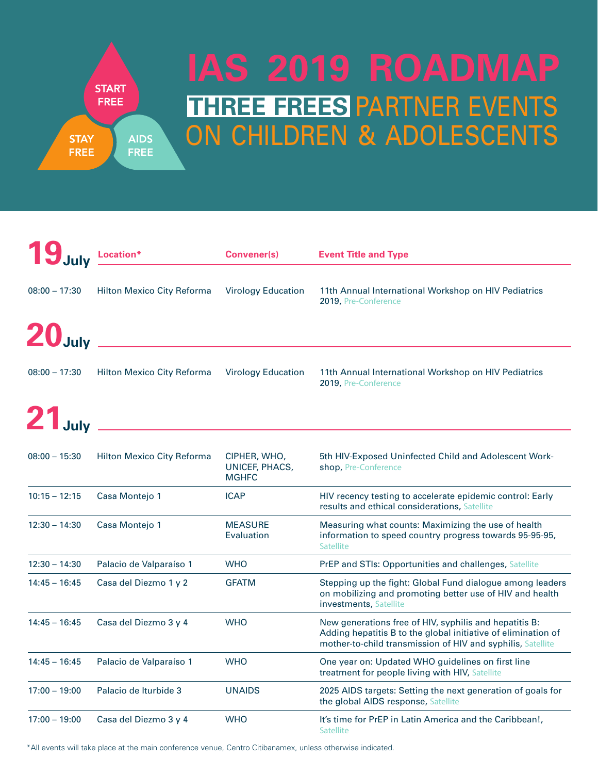## **THREE FREES PARTNER EVENTS** ON CHILDREN & ADOLESCENTS **IAS 2019 ROADMAP**

|                    | Location*                         | <b>Convener(s)</b>                             | <b>Event Title and Type</b>                                                                                                                                                            |
|--------------------|-----------------------------------|------------------------------------------------|----------------------------------------------------------------------------------------------------------------------------------------------------------------------------------------|
| $08:00 - 17:30$    | <b>Hilton Mexico City Reforma</b> | <b>Virology Education</b>                      | 11th Annual International Workshop on HIV Pediatrics<br>2019, Pre-Conference                                                                                                           |
| 20 <sub>July</sub> |                                   |                                                |                                                                                                                                                                                        |
| $08:00 - 17:30$    | Hilton Mexico City Reforma        | <b>Virology Education</b>                      | 11th Annual International Workshop on HIV Pediatrics<br>2019, Pre-Conference                                                                                                           |
| 21 <sub>July</sub> |                                   |                                                |                                                                                                                                                                                        |
| $08:00 - 15:30$    | Hilton Mexico City Reforma        | CIPHER, WHO,<br>UNICEF, PHACS,<br><b>MGHFC</b> | 5th HIV-Exposed Uninfected Child and Adolescent Work-<br>shop, Pre-Conference                                                                                                          |
| $10:15 - 12:15$    | Casa Montejo 1                    | <b>ICAP</b>                                    | HIV recency testing to accelerate epidemic control: Early<br>results and ethical considerations, Satellite                                                                             |
| $12:30 - 14:30$    | Casa Montejo 1                    | <b>MEASURE</b><br>Evaluation                   | Measuring what counts: Maximizing the use of health<br>information to speed country progress towards 95-95-95,<br><b>Satellite</b>                                                     |
| $12:30 - 14:30$    | Palacio de Valparaíso 1           | <b>WHO</b>                                     | PrEP and STIs: Opportunities and challenges, Satellite                                                                                                                                 |
| $14:45 - 16:45$    | Casa del Diezmo 1 y 2             | <b>GFATM</b>                                   | Stepping up the fight: Global Fund dialogue among leaders<br>on mobilizing and promoting better use of HIV and health<br>investments, Satellite                                        |
| $14:45 - 16:45$    | Casa del Diezmo 3 y 4             | <b>WHO</b>                                     | New generations free of HIV, syphilis and hepatitis B:<br>Adding hepatitis B to the global initiative of elimination of<br>mother-to-child transmission of HIV and syphilis, Satellite |
| $14:45 - 16:45$    | Palacio de Valparaíso 1           | <b>WHO</b>                                     | One year on: Updated WHO guidelines on first line<br>treatment for people living with HIV, Satellite                                                                                   |
| $17:00 - 19:00$    | Palacio de Iturbide 3             | <b>UNAIDS</b>                                  | 2025 AIDS targets: Setting the next generation of goals for<br>the global AIDS response, Satellite                                                                                     |
| $17:00 - 19:00$    | Casa del Diezmo 3 y 4             | <b>WHO</b>                                     | It's time for PrEP in Latin America and the Caribbean!,<br><b>Satellite</b>                                                                                                            |

\*All events will take place at the main conference venue, Centro Citibanamex, unless otherwise indicated.

**START FREE** 

**STAY FREE**  **AIDS** 

**FREE**